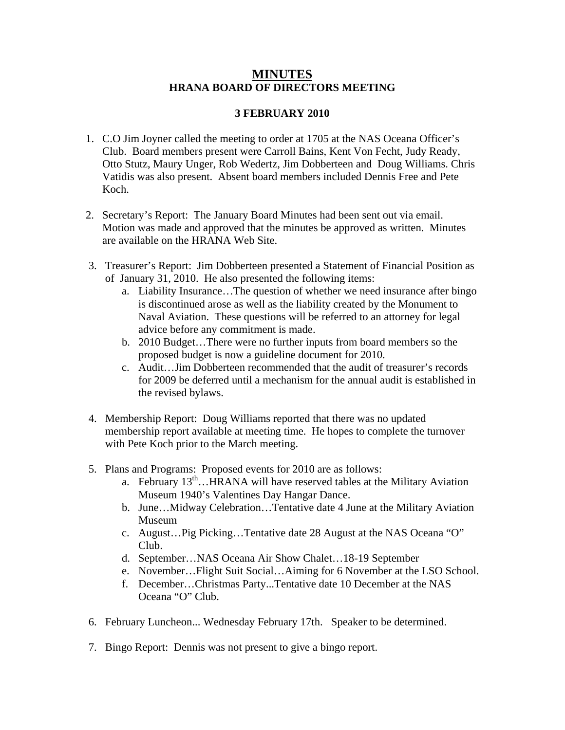## **MINUTES HRANA BOARD OF DIRECTORS MEETING**

## **3 FEBRUARY 2010**

- 1. C.O Jim Joyner called the meeting to order at 1705 at the NAS Oceana Officer's Club. Board members present were Carroll Bains, Kent Von Fecht, Judy Ready, Otto Stutz, Maury Unger, Rob Wedertz, Jim Dobberteen and Doug Williams. Chris Vatidis was also present. Absent board members included Dennis Free and Pete Koch.
- 2. Secretary's Report: The January Board Minutes had been sent out via email. Motion was made and approved that the minutes be approved as written. Minutes are available on the HRANA Web Site.
- 3. Treasurer's Report: Jim Dobberteen presented a Statement of Financial Position as of January 31, 2010. He also presented the following items:
	- a. Liability Insurance…The question of whether we need insurance after bingo is discontinued arose as well as the liability created by the Monument to Naval Aviation. These questions will be referred to an attorney for legal advice before any commitment is made.
	- b. 2010 Budget…There were no further inputs from board members so the proposed budget is now a guideline document for 2010.
	- c. Audit…Jim Dobberteen recommended that the audit of treasurer's records for 2009 be deferred until a mechanism for the annual audit is established in the revised bylaws.
- 4. Membership Report: Doug Williams reported that there was no updated membership report available at meeting time. He hopes to complete the turnover with Pete Koch prior to the March meeting.
- 5. Plans and Programs: Proposed events for 2010 are as follows:
	- a. February  $13^{th}$ ...HRANA will have reserved tables at the Military Aviation Museum 1940's Valentines Day Hangar Dance.
	- b. June…Midway Celebration…Tentative date 4 June at the Military Aviation Museum
	- c. August…Pig Picking…Tentative date 28 August at the NAS Oceana "O" Club.
	- d. September…NAS Oceana Air Show Chalet…18-19 September
	- e. November…Flight Suit Social…Aiming for 6 November at the LSO School.
	- f. December…Christmas Party...Tentative date 10 December at the NAS Oceana "O" Club.
- 6. February Luncheon... Wednesday February 17th. Speaker to be determined.
- 7. Bingo Report: Dennis was not present to give a bingo report.